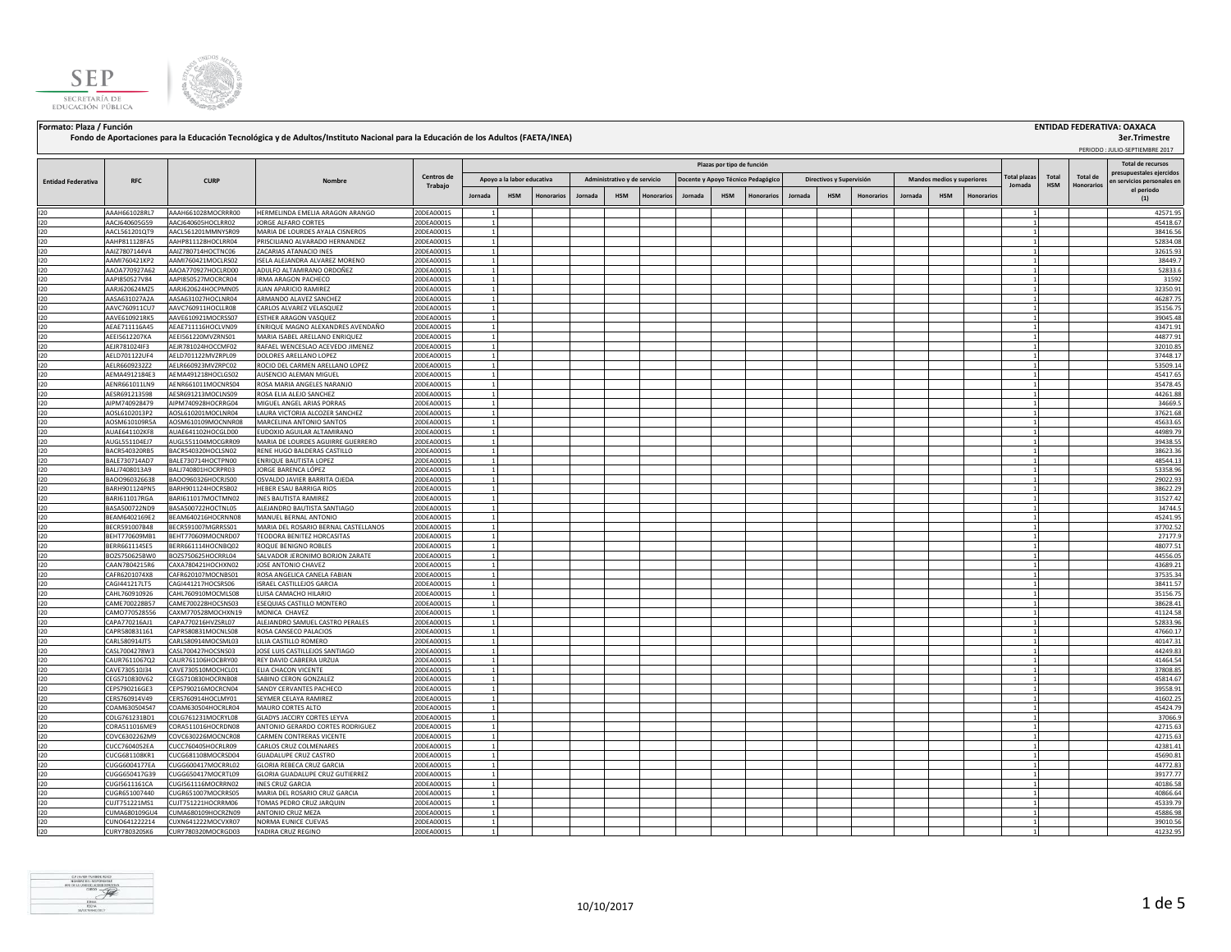



## **Fondo de Aportaciones para la Educación Tecnológica y de Adultos/Instituto Nacional para la Educación de los Adultos (FAETA/INEA)**

**Formato: Plaza / Función ENTIDAD FEDERATIVA: OAXACA 3er.Trimestre**

|                           |                                |                                          |                                                              |                          |                                                                                                                                                            |            |            |         |            |                   |         |                            |            |         |                     |                   | PERIODO: JULIO-SEPTIEMBRE 2017 |                          |           |              |            |                   |                                          |
|---------------------------|--------------------------------|------------------------------------------|--------------------------------------------------------------|--------------------------|------------------------------------------------------------------------------------------------------------------------------------------------------------|------------|------------|---------|------------|-------------------|---------|----------------------------|------------|---------|---------------------|-------------------|--------------------------------|--------------------------|-----------|--------------|------------|-------------------|------------------------------------------|
|                           |                                |                                          |                                                              |                          |                                                                                                                                                            |            |            |         |            |                   |         | Plazas por tipo de función |            |         |                     |                   |                                |                          |           |              |            |                   | Total de recursos                        |
|                           |                                |                                          |                                                              | Centros de               | Apoyo a la labor educativa<br>Administrativo y de servicio<br>Docente y Apoyo Técnico Pedagógico<br>Directivos y Supervisión<br>Mandos medios y superiores |            |            |         |            |                   |         |                            |            |         | <b>Total plazas</b> | Total             | <b>Total de</b>                | presupuestales eiercido: |           |              |            |                   |                                          |
| <b>Entidad Federativa</b> | <b>RFC</b>                     | <b>CURP</b>                              | Nombre                                                       | Trabaio                  |                                                                                                                                                            |            |            |         |            |                   |         |                            |            |         |                     |                   |                                |                          |           | Jornada      | <b>HSM</b> | <b>Honorarios</b> | en servicios personales en<br>el periodo |
|                           |                                |                                          |                                                              |                          | Jornada                                                                                                                                                    | <b>HSM</b> | Honorario: | Jornada | <b>HSM</b> | <b>Honorarios</b> | Jornada | <b>HSM</b>                 | lonorarios | Jornada | <b>HSM</b>          | <b>Honorarios</b> | <b>Jornada</b>                 | <b>HSM</b>               | Honorario |              |            |                   | (1)                                      |
| 120                       | AAAH661028RL7                  | AAAH661028MOCRRR00                       | HERMELINDA EMELIA ARAGON ARANGO                              | 20DEA0001S               | $\mathbf{1}$                                                                                                                                               |            |            |         |            |                   |         |                            |            |         |                     |                   |                                |                          |           | 11           |            |                   | 42571.95                                 |
| 120                       | AACJ640605G59                  | AACJ640605HOCLRR02                       | JORGE ALFARO CORTES                                          | 20DEA0001S               |                                                                                                                                                            |            |            |         |            |                   |         |                            |            |         |                     |                   |                                |                          |           |              |            |                   | 45418.67                                 |
| 120                       | AACL561201QT9                  | AACL561201MMNYSR09                       | MARIA DE LOURDES AYALA CISNEROS                              | 20DEA0001S               |                                                                                                                                                            |            |            |         |            |                   |         |                            |            |         |                     |                   |                                |                          |           |              |            |                   | 38416.56                                 |
| 120                       | AAHP811128FA5                  | AAHP811128HOCLRR04                       | PRISCILIANO ALVARADO HERNANDEZ                               | 20DEA0001S               |                                                                                                                                                            |            |            |         |            |                   |         |                            |            |         |                     |                   |                                |                          |           |              |            |                   | 52834.08                                 |
| 120                       | AAIZ7807144V4                  | AAIZ780714HOCTNC06                       | ZACARIAS ATANACIO INES                                       | 20DEA0001S               |                                                                                                                                                            |            |            |         |            |                   |         |                            |            |         |                     |                   |                                |                          |           |              |            |                   | 32615.93                                 |
| 120                       | AAMI760421KP2                  | AAMI760421MOCLRS02                       | ISELA ALEJANDRA ALVAREZ MORENO                               | 20DEA0001S<br>20DEA0001S | $\mathbf{1}$                                                                                                                                               |            |            |         |            |                   |         |                            |            |         |                     |                   |                                |                          |           |              |            |                   | 38449.7                                  |
| 120<br>120                | AAOA770927A62<br>AAPI850527V84 | AAOA770927HOCLRD00<br>AAPI850527MOCRCR04 | ADULFO ALTAMIRANO ORDOÑEZ<br><b>IRMA ARAGON PACHECO</b>      | 20DEA0001S               | $\overline{1}$                                                                                                                                             |            |            |         |            |                   |         |                            |            |         |                     |                   |                                |                          |           |              |            |                   | 52833.6<br>31592                         |
| 120                       | AARJ620624MZ5                  | AARJ620624HOCPMN05                       | JUAN APARICIO RAMIREZ                                        | 20DEA0001S               |                                                                                                                                                            |            |            |         |            |                   |         |                            |            |         |                     |                   |                                |                          |           |              |            |                   | 32350.9                                  |
| 120                       | AASA631027A2A                  | AASA631027HOCLNR04                       | ARMANDO ALAVEZ SANCHEZ                                       | 20DEA0001S               |                                                                                                                                                            |            |            |         |            |                   |         |                            |            |         |                     |                   |                                |                          |           |              |            |                   | 46287.75                                 |
| 120                       | AAVC760911CU7                  | AAVC760911HOCLLR08                       | CARLOS ALVAREZ VELASQUEZ                                     | 20DEA0001S               | $\overline{1}$                                                                                                                                             |            |            |         |            |                   |         |                            |            |         |                     |                   |                                |                          |           |              |            |                   | 35156.75                                 |
| 120                       | AAVE610921RK5                  | AAVE610921MOCRSS07                       | ESTHER ARAGON VASQUEZ                                        | 20DEA0001S               | $\mathbf{1}$                                                                                                                                               |            |            |         |            |                   |         |                            |            |         |                     |                   |                                |                          |           |              |            |                   | 39045.48                                 |
| 120                       | AEAE711116A45                  | AEAE711116HOCLVN09                       | ENRIQUE MAGNO ALEXANDRES AVENDAÑO                            | 20DEA0001S               | $\mathbf{1}$                                                                                                                                               |            |            |         |            |                   |         |                            |            |         |                     |                   |                                |                          |           |              |            |                   | 43471.91                                 |
| 120                       | AEEI5612207KA                  | AEEI561220MVZRNS01                       | MARIA ISABEL ARELLANO ENRIQUEZ                               | 20DEA0001S               | $\mathbf{1}$                                                                                                                                               |            |            |         |            |                   |         |                            |            |         |                     |                   |                                |                          |           |              |            |                   | 44877.91                                 |
| 120<br>120                | AEJR781024IF3<br>AELD701122UF4 | AEJR781024HOCCMF02<br>AELD701122MVZRPL09 | RAFAEL WENCESLAO ACEVEDO JIMENEZ<br>DOLORES ARELLANO LOPEZ   | 20DEA0001S<br>20DEA0001S | $\overline{1}$                                                                                                                                             |            |            |         |            |                   |         |                            |            |         |                     |                   |                                |                          |           |              |            |                   | 32010.85<br>37448.17                     |
| 120                       | AELR6609232Z2                  | AELR660923MVZRPC02                       | ROCIO DEL CARMEN ARELLANO LOPEZ                              | 20DEA0001S               | $\overline{1}$                                                                                                                                             |            |            |         |            |                   |         |                            |            |         |                     |                   |                                |                          |           | $\sim$       |            |                   | 53509.14                                 |
| 120                       | AEMA4912184E3                  | AEMA491218HOCLGS02                       | AUSENCIO ALEMAN MIGUEL                                       | 20DEA0001S               | $\overline{1}$                                                                                                                                             |            |            |         |            |                   |         |                            |            |         |                     |                   |                                |                          |           | $\mathbf{1}$ |            |                   | 45417.65                                 |
| 120                       | AENR661011LN9                  | AENR661011MOCNRS04                       | ROSA MARIA ANGELES NARANJO                                   | 20DEA0001S               | $\overline{1}$                                                                                                                                             |            |            |         |            |                   |         |                            |            |         |                     |                   |                                |                          |           | 11           |            |                   | 35478.45                                 |
| 120                       | AESR691213598                  | AESR691213MOCLNS09                       | ROSA ELIA ALEJO SANCHEZ                                      | 20DEA0001S               |                                                                                                                                                            |            |            |         |            |                   |         |                            |            |         |                     |                   |                                |                          |           |              |            |                   | 44261.88                                 |
| 120                       | AIPM740928479                  | AIPM740928HOCRRG04                       | MIGUEL ANGEL ARIAS PORRAS                                    | 20DEA0001S               |                                                                                                                                                            |            |            |         |            |                   |         |                            |            |         |                     |                   |                                |                          |           |              |            |                   | 34669.5                                  |
| 120                       | AOSL6102013P2                  | AOSL610201MOCLNR04                       | LAURA VICTORIA ALCOZER SANCHEZ                               | 20DEA0001S               |                                                                                                                                                            |            |            |         |            |                   |         |                            |            |         |                     |                   |                                |                          |           |              |            |                   | 37621.68                                 |
| 120                       | AOSM610109R5A                  | AOSM610109MOCNNR08<br>AUAE641102HOCGLD00 | MARCELINA ANTONIO SANTOS<br><b>UDOXIO AGUILAR ALTAMIRANO</b> | 20DEA0001S<br>20DEA0001S |                                                                                                                                                            |            |            |         |            |                   |         |                            |            |         |                     |                   |                                |                          |           |              |            |                   | 45633.65<br>44989.79                     |
| 120<br>120                | AUAE641102KF8<br>AUGL551104EJ7 | AUGL551104MOCGRR09                       | MARIA DE LOURDES AGUIRRE GUERRERO                            | 20DEA0001S               |                                                                                                                                                            |            |            |         |            |                   |         |                            |            |         |                     |                   |                                |                          |           |              |            |                   | 39438.55                                 |
| 120                       | BACR540320RB5                  | BACR540320HOCLSN02                       | RENE HUGO BALDERAS CASTILLO                                  | 20DEA0001S               | $\overline{1}$                                                                                                                                             |            |            |         |            |                   |         |                            |            |         |                     |                   |                                |                          |           | $\mathbf{1}$ |            |                   | 38623.36                                 |
| 120                       | BALE730714AD7                  | BALE730714HOCTPN00                       | ENRIQUE BAUTISTA LOPEZ                                       | 20DEA0001S               | $\overline{1}$                                                                                                                                             |            |            |         |            |                   |         |                            |            |         |                     |                   |                                |                          |           | 11           |            |                   | 48544.13                                 |
| 120                       | BALJ7408013A9                  | BALJ740801HOCRPR03                       | JORGE BARENCA LÓPEZ                                          | 20DEA0001S               |                                                                                                                                                            |            |            |         |            |                   |         |                            |            |         |                     |                   |                                |                          |           |              |            |                   | 53358.96                                 |
| 120                       | BAOO960326638                  | BAOO960326HOCRJS00                       | OSVALDO JAVIER BARRITA OJEDA                                 | 20DEA0001S               |                                                                                                                                                            |            |            |         |            |                   |         |                            |            |         |                     |                   |                                |                          |           |              |            |                   | 29022.93                                 |
| 120                       | BARH901124PN5                  | BARH901124HOCRSB02                       | HEBER ESAU BARRIGA RIOS                                      | 20DEA0001S               |                                                                                                                                                            |            |            |         |            |                   |         |                            |            |         |                     |                   |                                |                          |           |              |            |                   | 38622.29                                 |
| 120                       | <b>BARI611017RGA</b>           | BARI611017MOCTMN02                       | <b>INES BAUTISTA RAMIREZ</b>                                 | 20DEA0001S               | $\mathbf{1}$                                                                                                                                               |            |            |         |            |                   |         |                            |            |         |                     |                   |                                |                          |           |              |            |                   | 31527.42                                 |
| 120<br>120                | BASA500722ND9<br>BEAM6402169E2 | BASA500722HOCTNL05<br>BEAM640216HOCRNN08 | ALEJANDRO BAUTISTA SANTIAGO<br>MANUEL BERNAL ANTONIO         | 20DEA0001S<br>20DEA0001S | $\mathbf{1}$<br>$\overline{1}$                                                                                                                             |            |            |         |            |                   |         |                            |            |         |                     |                   |                                |                          |           |              |            |                   | 34744.5<br>45241.95                      |
| 120                       | BECR591007B48                  | BECR591007MGRRSS01                       | MARIA DEL ROSARIO BERNAL CASTELLANOS                         | 20DEA0001S               | 1                                                                                                                                                          |            |            |         |            |                   |         |                            |            |         |                     |                   |                                |                          |           | $\mathbf{1}$ |            |                   | 37702.52                                 |
| 120                       | BEHT770609MB1                  | BEHT770609MOCNRD07                       | TEODORA BENITEZ HORCASITAS                                   | 20DEA0001S               | <sup>1</sup>                                                                                                                                               |            |            |         |            |                   |         |                            |            |         |                     |                   |                                |                          |           | 11           |            |                   | 27177.9                                  |
| 120                       | BERR661114SE5                  | BERR661114HOCNBQ02                       | ROQUE BENIGNO ROBLES                                         | 20DEA0001S               | <sup>1</sup>                                                                                                                                               |            |            |         |            |                   |         |                            |            |         |                     |                   |                                |                          |           | $\mathbf{1}$ |            |                   | 48077.51                                 |
| 120                       | BOZS750625BW0                  | BOZS750625HOCRRL04                       | SALVADOR JERONIMO BORJON ZARATE                              | 20DEA0001S               |                                                                                                                                                            |            |            |         |            |                   |         |                            |            |         |                     |                   |                                |                          |           |              |            |                   | 44556.05                                 |
| 120                       | CAAN7804215R6                  | CAXA780421HOCHXN02                       | JOSE ANTONIO CHAVEZ                                          | 20DEA0001S               |                                                                                                                                                            |            |            |         |            |                   |         |                            |            |         |                     |                   |                                |                          |           |              |            |                   | 43689.21                                 |
| 120                       | CAFR6201074X8                  | CAFR620107MOCNBS01                       | ROSA ANGELICA CANELA FABIAN                                  | 20DEA0001S               |                                                                                                                                                            |            |            |         |            |                   |         |                            |            |         |                     |                   |                                |                          |           |              |            |                   | 37535.34                                 |
| 120                       | CAGI441217LT5                  | CAGI441217HOCSRS06                       | ISRAEL CASTILLEJOS GARCIA<br>LUISA CAMACHO HILARIO           | 20DEA0001S<br>20DEA0001S |                                                                                                                                                            |            |            |         |            |                   |         |                            |            |         |                     |                   |                                |                          |           |              |            |                   | 38411.57                                 |
| 120<br>120                | CAHL760910926<br>CAME700228B57 | CAHL760910MOCMLS08<br>CAME700228HOCSNS03 | ESEQUIAS CASTILLO MONTERO                                    | 20DEA0001S               | $\mathbf{1}$                                                                                                                                               |            |            |         |            |                   |         |                            |            |         |                     |                   |                                |                          |           |              |            |                   | 35156.75<br>38628.41                     |
| 120                       | AM0770528556                   | CAXM770528MOCHXN19                       | MONICA CHAVEZ                                                | 20DEA0001S               |                                                                                                                                                            |            |            |         |            |                   |         |                            |            |         |                     |                   |                                |                          |           |              |            |                   | 41124.58                                 |
| 120                       | CAPA770216AJ1                  | CAPA770216HVZSRL07                       | ALEJANDRO SAMUEL CASTRO PERALES                              | 20DEA0001S               | $\mathbf{1}$                                                                                                                                               |            |            |         |            |                   |         |                            |            |         |                     |                   |                                |                          |           |              |            |                   | 52833.96                                 |
| 120                       | CAPR580831161                  | CAPR580831MOCNLS08                       | ROSA CANSECO PALACIOS                                        | 20DEA0001S               | $\overline{1}$                                                                                                                                             |            |            |         |            |                   |         |                            |            |         |                     |                   |                                |                          |           |              |            |                   | 47660.17                                 |
| 120                       | CARL580914JT5                  | CARL580914MOCSML03                       | LILIA CASTILLO ROMERO                                        | 20DEA0001S               |                                                                                                                                                            |            |            |         |            |                   |         |                            |            |         |                     |                   |                                |                          |           |              |            |                   | 40147.31                                 |
| 120                       | CASL7004278W3                  | CASL700427HOCSNS03                       | JOSE LUIS CASTILLEJOS SANTIAGO                               | 20DEA0001S               |                                                                                                                                                            |            |            |         |            |                   |         |                            |            |         |                     |                   |                                |                          |           |              |            |                   | 44249.83                                 |
| 120                       | CAUR7611067Q2                  | CAUR761106HOCBRY00                       | REY DAVID CABRERA URZUA                                      | 20DEA0001S               |                                                                                                                                                            |            |            |         |            |                   |         |                            |            |         |                     |                   |                                |                          |           |              |            |                   | 41464.54<br>37808.85                     |
| 120<br>120                | CAVE730510J34<br>CEGS710830V62 | CAVE730510MOCHCL01<br>CEGS710830HOCRNB08 | ELIA CHACON VICENTE<br>SABINO CERON GONZALEZ                 | 0DEA0001S<br>20DEA0001S  | $\overline{1}$                                                                                                                                             |            |            |         |            |                   |         |                            |            |         |                     |                   |                                |                          |           |              |            |                   | 45814.67                                 |
| 120                       | CEPS790216GE3                  | CEPS790216MOCRCN04                       | SANDY CERVANTES PACHECO                                      | 20DEA0001S               | -1                                                                                                                                                         |            |            |         |            |                   |         |                            |            |         |                     |                   |                                |                          |           | -11          |            |                   | 39558.91                                 |
| 120                       | CERS760914V49                  | CERS760914HOCLMY01                       | SEYMER CELAYA RAMIREZ                                        | 20DEA0001S               | $\overline{1}$                                                                                                                                             |            |            |         |            |                   |         |                            |            |         |                     |                   |                                |                          |           |              |            |                   | 41602.25                                 |
| 120                       | COAM630504S47                  | COAM630504HOCRLR04                       | MAURO CORTES ALTO                                            | 20DEA0001S               | $\mathbf{1}$                                                                                                                                               |            |            |         |            |                   |         |                            |            |         |                     |                   |                                |                          |           | $\mathbf{1}$ |            |                   | 45424.79                                 |
| 120                       | COLG761231BD1                  | COLG761231MOCRYL08                       | GLADYS JACCIRY CORTES LEYVA                                  | 20DEA0001S               | $\overline{1}$                                                                                                                                             |            |            |         |            |                   |         |                            |            |         |                     |                   |                                |                          |           | 11           |            |                   | 37066.9                                  |
| 120                       | CORA511016ME9                  | CORA511016HOCRDN08                       | ANTONIO GERARDO CORTES RODRIGUEZ                             | 20DEA0001S               |                                                                                                                                                            |            |            |         |            |                   |         |                            |            |         |                     |                   |                                |                          |           | $\mathbf{1}$ |            |                   | 42715.63                                 |
| 120                       | COVC6302262M9                  | COVC630226MOCNCR08                       | CARMEN CONTRERAS VICENTE                                     | 20DEA0001S               |                                                                                                                                                            |            |            |         |            |                   |         |                            |            |         |                     |                   |                                |                          |           |              |            |                   | 42715.63                                 |
| 120<br>120                | CUCC7604052EA<br>CUCG681108KR1 | CUCC760405HOCRLR09<br>CUCG681108MOCRSD04 | CARLOS CRUZ COLMENARES<br><b>GUADALUPE CRUZ CASTRO</b>       | 20DEA0001S<br>20DEA0001S |                                                                                                                                                            |            |            |         |            |                   |         |                            |            |         |                     |                   |                                |                          |           |              |            |                   | 42381.41<br>45690.81                     |
| 120                       | CUGG6004177EA                  | CUGG600417MOCRRL02                       | GLORIA REBECA CRUZ GARCIA                                    | 20DEA0001S               |                                                                                                                                                            |            |            |         |            |                   |         |                            |            |         |                     |                   |                                |                          |           |              |            |                   | 44772.83                                 |
| 120                       | CUGG650417G39                  | CUGG650417MOCRTL09                       | GLORIA GUADALUPE CRUZ GUTIERREZ                              | 20DEA0001S               | $\mathbf{1}$                                                                                                                                               |            |            |         |            |                   |         |                            |            |         |                     |                   |                                |                          |           |              |            |                   | 39177.77                                 |
| 120                       | CUGI5611161CA                  | CUGI561116MOCRRN02                       | <b>INES CRUZ GARCIA</b>                                      | 20DEA0001S               | $\overline{1}$                                                                                                                                             |            |            |         |            |                   |         |                            |            |         |                     |                   |                                |                          |           | $\mathbf{1}$ |            |                   | 40186.58                                 |
| 120                       | CUGR651007440                  | CUGR651007MOCRRS05                       | MARIA DEL ROSARIO CRUZ GARCIA                                | 20DEA0001S               |                                                                                                                                                            |            |            |         |            |                   |         |                            |            |         |                     |                   |                                |                          |           |              |            |                   | 40866.64                                 |
| 120                       | CUJT751221MS1                  | CUJT751221HOCRRM06                       | TOMAS PEDRO CRUZ JARQUIN                                     | 20DEA0001S               |                                                                                                                                                            |            |            |         |            |                   |         |                            |            |         |                     |                   |                                |                          |           |              |            |                   | 45339.79                                 |
| 120                       | CUMA680109GU4                  | CUMA680109HOCRZN09                       | ANTONIO CRUZ MEZA                                            | 20DEA0001S               |                                                                                                                                                            |            |            |         |            |                   |         |                            |            |         |                     |                   |                                |                          |           |              |            |                   | 45886.98                                 |
| 120                       | CUNO641222214                  | CUXN641222MOCVXR07                       | NORMA EUNICE CUEVAS                                          | 20DEA0001S               | $\mathbf{1}$                                                                                                                                               |            |            |         |            |                   |         |                            |            |         |                     |                   |                                |                          |           |              |            |                   | 39010.56                                 |
| 120                       | CURY780320SK6                  | CURY780320MOCRGD03                       | YADIRA CRUZ REGINO                                           | 20DEA0001S               | $\mathbf{1}$                                                                                                                                               |            |            |         |            |                   |         |                            |            |         |                     |                   |                                |                          |           |              |            |                   | 41232.95                                 |

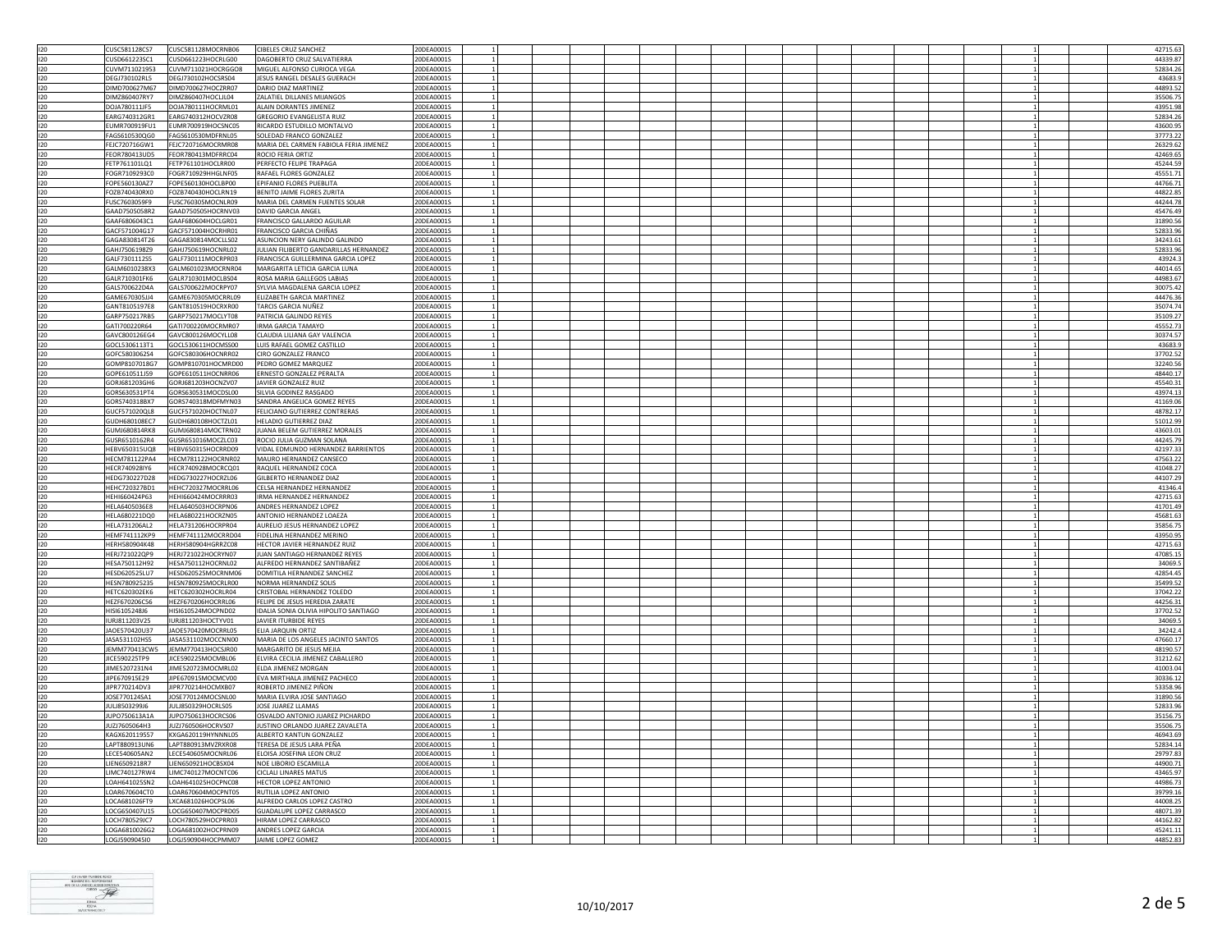| 120     | CUSC581128CS7        | CUSC581128MOCRNB06 | <b>CIBELES CRUZ SANCHEZ</b>            | 20DEA0001S |                |  |  |  |  |  |  | 42715.63 |
|---------|----------------------|--------------------|----------------------------------------|------------|----------------|--|--|--|--|--|--|----------|
| 120     | CUSD661223SC1        | CUSD661223HOCRLG00 | DAGOBERTO CRUZ SALVATIERRA             | 20DEA0001S |                |  |  |  |  |  |  | 44339.87 |
|         |                      |                    |                                        |            |                |  |  |  |  |  |  |          |
| 120     | CUVM711021953        | CUVM711021HOCRGGO8 | MIGUEL ALFONSO CURIOCA VEGA            | 20DEA0001S |                |  |  |  |  |  |  | 52834.26 |
| 120     | DEGJ730102RL5        | DEGJ730102HOCSRS04 | JESUS RANGEL DESALES GUERACH           | 20DEA0001S |                |  |  |  |  |  |  | 43683.   |
| 120     | DIMD700627M67        | DIMD700627HOCZRR07 | DARIO DIAZ MARTINEZ                    | 20DEA0001S |                |  |  |  |  |  |  | 44893.52 |
| 120     | DIMZ860407RY7        | DIMZ860407HOCLJL04 |                                        | 20DEA0001S |                |  |  |  |  |  |  |          |
|         |                      |                    | ZALATIEL DILLANES MIJANGOS             |            |                |  |  |  |  |  |  | 35506.75 |
| 120     | DOJA780111JF5        | DOJA780111HOCRML01 | ALAIN DORANTES JIMENEZ                 | 20DEA0001S |                |  |  |  |  |  |  | 43951.98 |
| 120     | FARG740312GR1        | EARG740312HOCVZR08 | <b>GREGORIO EVANGELISTA RUIZ</b>       | 20DEA0001S |                |  |  |  |  |  |  | 52834.26 |
| 120     | EUMR700919FU1        | EUMR700919HOCSNC05 | RICARDO ESTUDILLO MONTALVO             | 20DEA0001S |                |  |  |  |  |  |  | 43600.9  |
|         |                      |                    |                                        |            |                |  |  |  |  |  |  |          |
| 120     | FAGS610530QG0        | FAGS610530MDFRNL05 | SOLEDAD FRANCO GONZALEZ                | 20DEA0001S |                |  |  |  |  |  |  | 37773.22 |
| 120     | FEJC720716GW1        | FEJC720716MOCRMR08 | MARIA DEL CARMEN FABIOLA FERIA JIMENEZ | 20DEA0001S |                |  |  |  |  |  |  | 26329.62 |
| 120     | FFOR780413UD5        | FFOR780413MDERRC04 | ROCIO FERIA ORTIZ                      | 20DEA0001S |                |  |  |  |  |  |  | 42469.65 |
| 120     | FETP761101LO1        | FETP761101HOCLRR00 | PERFECTO FELIPE TRAPAGA                | 20DEA0001S |                |  |  |  |  |  |  | 45244.59 |
|         |                      |                    |                                        |            |                |  |  |  |  |  |  |          |
| 120     | FOGR7109293C0        | FOGR710929HHGLNF05 | RAFAEL FLORES GONZALEZ                 | 20DEA0001S |                |  |  |  |  |  |  | 45551.7  |
| 120     | FOPE560130AZ7        | FOPE560130HOCLBP00 | EPIFANIO FLORES PUEBLITA               | 20DEA0001S |                |  |  |  |  |  |  | 44766.71 |
| 120     | FOZB740430RX0        | FOZB740430HOCLRN19 | BENITO JAIME FLORES ZURITA             | 20DEA0001S |                |  |  |  |  |  |  | 44822.85 |
|         |                      |                    | MARIA DEL CARMEN FUENTES SOLAR         | 20DEA0001S |                |  |  |  |  |  |  | 44244.78 |
| 120     | FUSC7603059F9        | FUSC760305MOCNLR09 |                                        |            |                |  |  |  |  |  |  |          |
| 120     | GAAD7505058R2        | GAAD750505HOCRNV03 | DAVID GARCIA ANGEL                     | 20DEA0001S |                |  |  |  |  |  |  | 45476.49 |
| 120     | GAAF6806043C1        | GAAF680604HOCLGR01 | <b>FRANCISCO GALLARDO AGUILAR</b>      | 20DEA0001S |                |  |  |  |  |  |  | 31890.56 |
| 120     | GACF571004G17        | GACF571004HOCRHR01 | <b>FRANCISCO GARCIA CHIÑAS</b>         | 20DEA0001S |                |  |  |  |  |  |  | 52833.96 |
|         |                      |                    |                                        |            |                |  |  |  |  |  |  |          |
| 120     | GAGA830814T26        | GAGA830814MOCLLS02 | ASUNCION NERY GALINDO GALINDO          | 20DEA0001S |                |  |  |  |  |  |  | 34243.61 |
| 120     | GAHJ7506198Z9        | GAHJ750619HOCNRL02 | JULIAN FILIBERTO GANDARILLAS HERNANDEZ | 20DEA0001S |                |  |  |  |  |  |  | 52833.96 |
| 120     | GALF7301112S5        | GALF730111MOCRPR03 | FRANCISCA GUILLERMINA GARCIA LOPEZ     | 20DEA0001S |                |  |  |  |  |  |  | 43924.3  |
|         |                      |                    |                                        |            |                |  |  |  |  |  |  |          |
| 120     | GALM6010238X3        | GALM601023MOCRNR04 | MARGARITA LETICIA GARCIA LUNA          | 20DEA0001S |                |  |  |  |  |  |  | 44014.65 |
| 120     | GALR710301FK6        | GALR710301MOCLBS04 | ROSA MARIA GALLEGOS LABIAS             | 20DEA0001S |                |  |  |  |  |  |  | 44983.67 |
| 120     | GALS700622D4A        | GALS700622MOCRPY07 | SYLVIA MAGDALENA GARCIA LOPEZ          | 20DEA0001S |                |  |  |  |  |  |  | 30075.42 |
| 120     | GAME670305JJ4        | GAME670305MOCRRL09 | ELIZABETH GARCIA MARTINEZ              | 20DEA0001S |                |  |  |  |  |  |  | 44476.3  |
|         |                      |                    |                                        |            |                |  |  |  |  |  |  |          |
| 120     | GANT8105197E8        | GANT810519HOCRXR00 | TARCIS GARCIA NUÑEZ                    | 20DEA0001S |                |  |  |  |  |  |  | 35074.74 |
| 120     | GARP750217RB5        | GARP750217MOCLYT08 | PATRICIA GALINDO REYES                 | 20DEA0001S |                |  |  |  |  |  |  | 35109.27 |
| 120     | GAT1700220R64        | GATI700220MOCRMR07 | <b>IRMA GARCIA TAMAYO</b>              | 20DEA0001S |                |  |  |  |  |  |  | 45552.7  |
|         |                      |                    |                                        |            |                |  |  |  |  |  |  |          |
| 120     | GAVC800126EG4        | GAVC800126MOCYLL08 | CLAUDIA LILIANA GAY VALENCIA           | 20DEA0001S |                |  |  |  |  |  |  | 30374.57 |
| 120     | GOCL5306113T1        | GOCL530611HOCMSS00 | <b>LUIS RAFAEL GOMEZ CASTILLO</b>      | 20DEA0001S |                |  |  |  |  |  |  | 43683.   |
| 120     | GOFC5803062S4        | GOFC580306HOCNRR02 | CIRO GONZALEZ FRANCO                   | 20DEA0001S |                |  |  |  |  |  |  | 37702.52 |
|         | GOMP8107018G7        |                    |                                        | 20DEA0001S |                |  |  |  |  |  |  |          |
| 120     |                      | GOMP810701HOCMRD00 | PEDRO GOMEZ MARQUEZ                    |            |                |  |  |  |  |  |  | 32240.56 |
| 120     | GOPE610511J59        | GOPE610511HOCNRR06 | ERNESTO GONZALEZ PERALTA               | 20DEA0001S |                |  |  |  |  |  |  | 48440.17 |
| 120     | GORJ681203GH6        | GORJ681203HOCNZV07 | JAVIER GONZALEZ RUIZ                   | 20DEA0001S | $\overline{1}$ |  |  |  |  |  |  | 45540.31 |
| 120     | GORS630531PT4        | GORS630531MOCDSL00 | SILVIA GODINEZ RASGADO                 | 20DEA0001S |                |  |  |  |  |  |  | 43974.13 |
|         |                      |                    |                                        |            |                |  |  |  |  |  |  |          |
| 120     | GORS740318BX7        | GORS740318MDFMYN03 | SANDRA ANGELICA GOMEZ REYES            | 20DEA0001S |                |  |  |  |  |  |  | 41169.06 |
| 120     | GUCF571020QL8        | GUCF571020HOCTNL07 | FELICIANO GUTIERREZ CONTRERAS          | 20DEA0001S |                |  |  |  |  |  |  | 48782.17 |
| 120     | GUDH680108EC7        | GUDH680108HOCTZL01 | HELADIO GUTIERREZ DIAZ                 | 20DEA0001S |                |  |  |  |  |  |  | 51012.9  |
|         |                      |                    |                                        |            |                |  |  |  |  |  |  |          |
| 120     | GUMJ680814RK8        | GUMJ680814MOCTRN02 | JUANA BELEM GUTIERREZ MORALES          | 20DEA0001S |                |  |  |  |  |  |  | 43603.0  |
| 120     | GUSR6510162R4        | GUSR651016MOCZLC03 | ROCIO JULIA GUZMAN SOLANA              | 20DEA0001S |                |  |  |  |  |  |  | 44245.79 |
| 120     | HEBV650315UQ8        | HEBV650315HOCRRD09 | VIDAL EDMUNDO HERNANDEZ BARRIENTOS     | 20DEA0001S |                |  |  |  |  |  |  | 42197.3  |
|         |                      |                    |                                        |            |                |  |  |  |  |  |  |          |
| 120     | HECM781122PA4        | HECM781122HOCRNR02 | MAURO HERNANDEZ CANSECO                | 20DEA0001S |                |  |  |  |  |  |  | 47563.22 |
| $120 -$ | HFCR740928IY6        | HECR740928MOCRCO01 | <b>RAQUEL HERNANDEZ COCA</b>           | 20DEA0001S | 1              |  |  |  |  |  |  | 41048.27 |
| 120     | HEDG730227D28        | HEDG730227HOCRZL06 | <b>GILBERTO HERNANDEZ DIAZ</b>         | 20DEA0001S |                |  |  |  |  |  |  | 44107.29 |
| 120     | HEHC720327BD1        | HEHC720327MOCRRL06 | CELSA HERNANDEZ HERNANDEZ              | 20DEA0001S |                |  |  |  |  |  |  | 41346.4  |
|         |                      |                    |                                        |            |                |  |  |  |  |  |  |          |
| 120     | HEHI660424P63        | HEHI660424MOCRRR03 | IRMA HERNANDEZ HERNANDEZ               | 20DEA0001S |                |  |  |  |  |  |  | 42715.63 |
| 120     | HELA6405036E8        | HELA640503HOCRPN06 | ANDRES HERNANDEZ LOPEZ                 | 20DEA0001S |                |  |  |  |  |  |  | 41701.49 |
| 120     | HELA680221DQ0        | HELA680221HOCRZN05 | ANTONIO HERNANDEZ LOAEZA               | 20DEA0001S |                |  |  |  |  |  |  | 45681.63 |
|         |                      |                    |                                        |            |                |  |  |  |  |  |  |          |
| 120     | HELA731206AL2        | HELA731206HOCRPR04 | AURELIO JESUS HERNANDEZ LOPEZ          | 20DEA0001S |                |  |  |  |  |  |  | 35856.75 |
| 120     | HEMF741112KP9        | HEMF741112MOCRRD04 | FIDELINA HERNANDEZ MERINO              | 20DEA0001S |                |  |  |  |  |  |  | 43950.9  |
| 120     | HERH580904K48        | HERH580904HGRRZC08 | HECTOR JAVIER HERNANDEZ RUIZ           | 20DEA0001S |                |  |  |  |  |  |  | 42715.6  |
|         |                      |                    |                                        |            |                |  |  |  |  |  |  |          |
| 120     | HERJ721022OP9        | HERJ721022HOCRYN07 | JUAN SANTIAGO HERNANDEZ REYES          | 20DEA0001S |                |  |  |  |  |  |  | 47085.1  |
| 120     | HESA750112H92        | HESA750112HOCRNL02 | ALFREDO HERNANDEZ SANTIBAÑEZ           | 20DEA0001S |                |  |  |  |  |  |  | 34069.5  |
| 120     | HESD620525LU7        | HESD620525MOCRNM06 | DOMITILA HERNANDEZ SANCHEZ             | 20DEA0001S |                |  |  |  |  |  |  | 42854.45 |
| 120     | HESN780925235        | HESN780925MOCRLR00 | NORMA HERNANDEZ SOLIS                  | 20DEA0001S |                |  |  |  |  |  |  | 35499.52 |
|         |                      |                    |                                        |            |                |  |  |  |  |  |  |          |
| 120     | <b>HFTC620302FK6</b> | HETC620302HOCRLR04 | CRISTOBAL HERNANDEZ TOLEDO             | 20DEA0001S |                |  |  |  |  |  |  | 37042.22 |
| 120     | HEZF670206C56        | HEZF670206HOCRRL06 | FELIPE DE JESUS HEREDIA ZARATE         | 20DEA0001S |                |  |  |  |  |  |  | 44256.31 |
| 120     | HISI6105248J6        | HISI610524MOCPND02 | IDALIA SONIA OLIVIA HIPOLITO SANTIAGO  | 20DEA0001S |                |  |  |  |  |  |  | 37702.52 |
|         |                      |                    |                                        |            |                |  |  |  |  |  |  |          |
| 120     | URJ811203V25         | IURJ811203HOCTYV01 | JAVIER ITURBIDE REYES                  | 20DEA0001S |                |  |  |  |  |  |  | 34069.5  |
| 120     | JAOE570420U37        | JAOE570420MOCRRL05 | ELIA JARQUIN ORTIZ                     | 20DEA0001S |                |  |  |  |  |  |  | 34242.4  |
| 120     | JASA531102HS5        | JASA531102MOCCNN00 | MARIA DE LOS ANGELES JACINTO SANTOS    | 20DEA0001S |                |  |  |  |  |  |  | 47660.1  |
| 120     | JEMM770413CW5        | JEMM770413HOCSJR00 | MARGARITO DE JESUS MEJIA               | 20DEA0001S |                |  |  |  |  |  |  | 48190.57 |
|         |                      |                    |                                        |            |                |  |  |  |  |  |  |          |
| 120     | JICE590225TP9        | JICE590225MOCMBL06 | ELVIRA CECILIA JIMENEZ CABALLERO       | 20DEA0001S |                |  |  |  |  |  |  | 31212.62 |
| 120     | JIME5207231N4        | JIME520723MOCMRL02 | ELDA JIMENEZ MORGAN                    | 20DEA0001S |                |  |  |  |  |  |  | 41003.0  |
| 120     | JIPE670915E29        | JIPE670915MOCMCV00 | EVA MIRTHALA JIMENEZ PACHECO           | 20DEA0001S |                |  |  |  |  |  |  | 30336.12 |
|         |                      |                    |                                        |            |                |  |  |  |  |  |  |          |
| 120     | JIPR770214DV3        | JIPR770214HOCMXB07 | ROBERTO JIMENEZ PIÑON                  | 20DEA0001S |                |  |  |  |  |  |  | 53358.96 |
| $120 -$ | IOSE770124SA1        | JOSE770124MOCSNL00 | MARIA FI VIRA IOSE SANTIAGO            | 20DEA0001S |                |  |  |  |  |  |  | 31890.56 |
| 120     | JULJ8503299J6        | JULJ850329HOCRLS05 | JOSE JUAREZ LLAMAS                     | 20DEA0001S |                |  |  |  |  |  |  | 52833.9  |
|         |                      |                    |                                        |            |                |  |  |  |  |  |  |          |
| 120     | JUPO750613A1A        | JUPO750613HOCRCS06 | OSVALDO ANTONIO JUAREZ PICHARDO        | 20DEA0001S |                |  |  |  |  |  |  | 35156.75 |
| 120     | JUZJ7605064H3        | JUZJ760506HOCRVS07 | JUSTINO ORLANDO JUAREZ ZAVALETA        | 20DEA0001S |                |  |  |  |  |  |  | 35506.75 |
| 120     | KAGX620119557        | KXGA620119HYNNNL05 | ALBERTO KANTUN GONZALEZ                | 20DEA0001S |                |  |  |  |  |  |  | 46943.69 |
| 120     | LAPT880913UN6        | LAPT880913MVZRXR08 | TERESA DE JESUS LARA PEÑA              | 20DEA0001S |                |  |  |  |  |  |  |          |
|         |                      |                    |                                        |            |                |  |  |  |  |  |  | 52834.14 |
| 120     | LECE540605AN2        | LECE540605MOCNRL06 | ELOISA JOSEFINA LEON CRUZ              | 20DEA0001S |                |  |  |  |  |  |  | 29797.8  |
| 120     | LIEN6509218R7        | LIEN650921HOCBSX04 | NOE LIBORIO ESCAMILLA                  | 20DEA0001S |                |  |  |  |  |  |  | 44900.71 |
| 120     | LIMC740127RW4        | LIMC740127MOCNTC06 | <b>CICLALI LINARES MATUS</b>           | 20DEA0001S |                |  |  |  |  |  |  | 43465.97 |
|         |                      |                    |                                        |            |                |  |  |  |  |  |  |          |
| 120     | LOAH641025SN2        | LOAH641025HOCPNC08 | <b>HECTOR LOPEZ ANTONIO</b>            | 20DEA0001S |                |  |  |  |  |  |  | 44986.7  |
| 120     | LOAR670604CT0        | LOAR670604MOCPNT05 | RUTILIA LOPEZ ANTONIO                  | 20DEA0001S | $\mathbf{1}$   |  |  |  |  |  |  | 39799.16 |
| 120     | LOCA681026FT9        | LXCA681026HOCPSL06 | ALFREDO CARLOS LOPEZ CASTRO            | 20DEA0001S |                |  |  |  |  |  |  | 44008.25 |
| 120     | LOCG650407U15        | LOCG650407MOCPRD05 | GUADALUPE LOPEZ CARRASCO               | 20DEA0001S |                |  |  |  |  |  |  | 48071.39 |
|         |                      |                    |                                        |            |                |  |  |  |  |  |  |          |
| 120     | LOCH780529IC7        | LOCH780529HOCPRR03 | HIRAM LOPEZ CARRASCO                   | 20DEA0001S |                |  |  |  |  |  |  | 44162.82 |
| 120     | LOGA6810026G2        | LOGA681002HOCPRN09 | ANDRES LOPEZ GARCIA                    | 20DEA0001S |                |  |  |  |  |  |  | 45241.11 |
| 120     | LOGJ590904510        | LOGJ590904HOCPMM07 | JAIME LOPEZ GOMEZ                      | 20DEA0001S |                |  |  |  |  |  |  | 44852.83 |
|         |                      |                    |                                        |            |                |  |  |  |  |  |  |          |

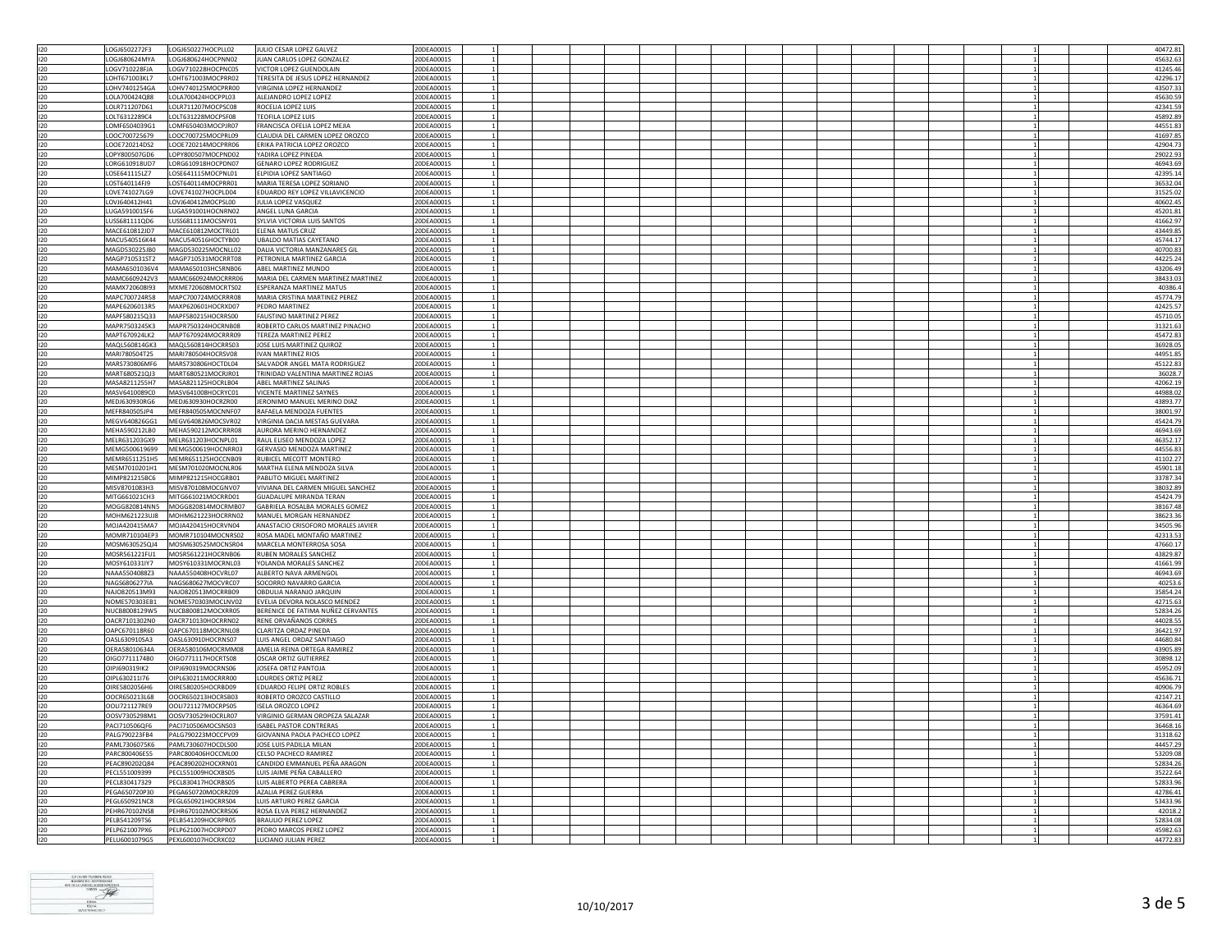| 120        | LOGJ6502272F3                  | LOGJ650227HOCPLL02                       | JULIO CESAR LOPEZ GALVEZ                         | 20DEA0001S               |  |  |  |  |  |  | 40472.81             |
|------------|--------------------------------|------------------------------------------|--------------------------------------------------|--------------------------|--|--|--|--|--|--|----------------------|
| 120        | LOGJ680624MYA                  | LOGJ680624HOCPNN02                       | JUAN CARLOS LOPEZ GONZALEZ                       | 20DEA0001S               |  |  |  |  |  |  | 45632.63             |
| 120        | LOGV710228FJA                  | LOGV710228HOCPNC05                       | VICTOR LOPEZ GUENDOLAIN                          | 20DEA0001S               |  |  |  |  |  |  | 41245.46             |
|            |                                |                                          |                                                  |                          |  |  |  |  |  |  |                      |
| 120        | LOHT671003KL7                  | LOHT671003MOCPRR02                       | TERESITA DE JESUS LOPEZ HERNANDEZ                | 20DEA0001S               |  |  |  |  |  |  | 42296.17             |
| 120        | LOHV7401254GA                  | LOHV740125MOCPRR00                       | VIRGINIA LOPEZ HERNANDEZ                         | 20DEA0001S               |  |  |  |  |  |  | 43507.33             |
| 120        |                                |                                          |                                                  |                          |  |  |  |  |  |  | 45630.5              |
|            | LOLA700424Q88                  | LOLA700424HOCPPL03                       | ALEJANDRO LOPEZ LOPEZ                            | 20DEA0001S               |  |  |  |  |  |  |                      |
| 120        | LOLR711207D61                  | LOLR711207MOCPSC08                       | ROCELIA LOPEZ LUIS                               | 20DEA0001S               |  |  |  |  |  |  | 42341.59             |
| 120        | LOLT6312289C4                  | LOLT631228MOCPSF08                       | TEOFILA LOPEZ LUIS                               | 20DEA0001S               |  |  |  |  |  |  | 45892.89             |
| 120        | LOMF6504039G1                  | LOMF650403MOCPJR07                       | FRANCISCA OFELIA LOPEZ MEJIA                     | 20DEA0001S               |  |  |  |  |  |  | 44551.83             |
|            |                                |                                          |                                                  |                          |  |  |  |  |  |  |                      |
| 120        | LOOC700725679                  | LOOC700725MOCPRL09                       | CLAUDIA DEL CARMEN LOPEZ OROZCO                  | 20DEA0001S               |  |  |  |  |  |  | 41697.85             |
| 120        | LOOE720214DS2                  | LOOE720214MOCPRR06                       | ERIKA PATRICIA LOPEZ OROZCO                      | 20DEA0001S               |  |  |  |  |  |  | 42904.73             |
| 120        | LOPY800507GD6                  | LOPY800507MOCPND02                       | YADIRA LOPEZ PINEDA                              | 20DEA0001S               |  |  |  |  |  |  | 29022.93             |
|            |                                |                                          |                                                  |                          |  |  |  |  |  |  |                      |
| 120        | LORG610918UD7                  | LORG610918HOCPDN07                       | <b>GENARO LOPEZ RODRIGUEZ</b>                    | 20DEA0001S               |  |  |  |  |  |  | 46943.69             |
| 120        | LOSE641115LZ7                  | LOSE641115MOCPNL01                       | ELPIDIA LOPEZ SANTIAGO                           | 20DEA0001S               |  |  |  |  |  |  | 42395.14             |
| 120        | LOST640114FJ9                  | LOST640114MOCPRR01                       | MARIA TERESA LOPEZ SORIANO                       | 20DEA0001S               |  |  |  |  |  |  | 36532.04             |
|            |                                |                                          |                                                  |                          |  |  |  |  |  |  |                      |
| 120        | LOVE741027LG9                  | LOVE741027HOCPLD04                       | EDUARDO REY LOPEZ VILLAVICENCIO                  | 20DEA0001S               |  |  |  |  |  |  | 31525.02             |
| 120        | LOV1640412H41                  | LOVJ640412MOCPSL00                       | IUI IA LOPEZ VASOUEZ                             | 20DEA0001S               |  |  |  |  |  |  | 40602.45             |
| 120        | LUGA5910015F6                  | LUGA591001HOCNRN02                       | ANGEL LUNA GARCIA                                | 20DEA0001S               |  |  |  |  |  |  | 45201.81             |
|            |                                |                                          |                                                  |                          |  |  |  |  |  |  |                      |
| 120        | LUSS681111QD6                  | LUSS681111MOCSNY01                       | SYLVIA VICTORIA LUIS SANTOS                      | 20DEA0001S               |  |  |  |  |  |  | 41662.97             |
| 120        | MACE610812JD7                  | MACE610812MOCTRL01                       | ELENA MATUS CRUZ                                 | 20DEA0001S               |  |  |  |  |  |  | 43449.85             |
| 120        | MACU540516K44                  | MACU540516HOCTYB00                       | <b>UBALDO MATIAS CAYETANO</b>                    | 20DEA0001S               |  |  |  |  |  |  | 45744.17             |
|            |                                |                                          |                                                  |                          |  |  |  |  |  |  |                      |
| 120        | MAGD530225JB0                  | MAGD530225MOCNLL02                       | DALIA VICTORIA MANZANARES GIL                    | 20DEA0001S               |  |  |  |  |  |  | 40700.83             |
| 120        | MAGP710531ST2                  | MAGP710531MOCRRT08                       | PETRONILA MARTINEZ GARCIA                        | 20DEA0001S               |  |  |  |  |  |  | 44225.24             |
| 120        | MAMA6501036V4                  | MAMA650103HCSRNB06                       | ABEL MARTINEZ MUNDO                              | 20DEA0001S               |  |  |  |  |  |  | 43206.49             |
|            |                                |                                          |                                                  |                          |  |  |  |  |  |  |                      |
| 120        | MAMC6609242V3                  | MAMC660924MOCRRR06                       | MARIA DEL CARMEN MARTINEZ MARTINEZ               | 20DEA0001S               |  |  |  |  |  |  | 38433.03             |
| 120        | MAMX720608I93                  | MXME720608MOCRTS02                       | <b>ESPERANZA MARTINEZ MATUS</b>                  | 20DEA0001S               |  |  |  |  |  |  | 40386.               |
| 120        | MAPC700724R58                  | MAPC700724MOCRRR08                       | MARIA CRISTINA MARTINEZ PEREZ                    | 20DEA0001S               |  |  |  |  |  |  | 45774.79             |
|            |                                |                                          |                                                  |                          |  |  |  |  |  |  |                      |
| 120        | MAPE6206013R5                  | MAXP620601HOCRXD07                       | PEDRO MARTINEZ                                   | 20DEA0001S               |  |  |  |  |  |  | 42425.57             |
| 120        | MAPF580215Q33                  | MAPF580215HOCRRS00                       | <b>FAUSTINO MARTINEZ PEREZ</b>                   | 20DEA0001S               |  |  |  |  |  |  | 45710.05             |
| 120        | MAPR7503245K3                  | MAPR750324HOCRNB08                       | ROBERTO CARLOS MARTINEZ PINACHO                  | 20DEA0001S               |  |  |  |  |  |  | 31321.63             |
|            |                                |                                          |                                                  |                          |  |  |  |  |  |  |                      |
| 120        | MAPT670924LK2                  | MAPT670924MOCRRR09                       | TEREZA MARTINEZ PEREZ                            | 20DEA0001S               |  |  |  |  |  |  | 45472.83             |
| 120        | MAQL560814GK3                  | MAQL560814HOCRRS03                       | JOSE LUIS MARTINEZ QUIROZ                        | 20DEA0001S               |  |  |  |  |  |  | 36928.05             |
| 120        | MARI780504T25                  | MARI780504HOCRSV08                       | <b>IVAN MARTINEZ RIOS</b>                        | 20DEA0001S               |  |  |  |  |  |  | 44951.85             |
|            |                                |                                          |                                                  |                          |  |  |  |  |  |  |                      |
| 120        | MARS730806MF6                  | MARS730806HOCTDL04                       | SALVADOR ANGEL MATA RODRIGUEZ                    | 20DEA0001S               |  |  |  |  |  |  | 45122.83             |
| 120        | MART680521QJ3                  | MART680521MOCRJR01                       | TRINIDAD VALENTINA MARTINEZ ROJAS                | 20DEA0001S               |  |  |  |  |  |  | 36028.               |
|            |                                |                                          | ABEL MARTINEZ SALINAS                            |                          |  |  |  |  |  |  |                      |
| 120        | MASA8211255H7                  | MASA821125HOCRLB04                       |                                                  | 20DEA0001S               |  |  |  |  |  |  | 42062.19             |
| 120        | MASV6410089C0                  | MASV641008HOCRYC01                       | VICENTE MARTINEZ SAYNES                          | 20DEA0001S               |  |  |  |  |  |  | 44988.02             |
| 120        | MEDJ630930RG6                  | MEDJ630930HOCRZR00                       | JERONIMO MANUEL MERINO DIAZ                      | 20DEA0001S               |  |  |  |  |  |  | 43893.77             |
|            |                                |                                          |                                                  |                          |  |  |  |  |  |  |                      |
| 120        | MEFR840505JP4                  | MEFR840505MOCNNF07                       | RAFAELA MENDOZA FUENTES                          | 20DEA0001S               |  |  |  |  |  |  | 38001.97             |
| 120        | MEGV640826GG1                  | MEGV640826MOCSVR02                       | VIRGINIA DACIA MESTAS GUEVARA                    | 20DEA0001S               |  |  |  |  |  |  | 45424.79             |
| 120        | MFHA590212LB0                  | MFHA590212MOCRRR08                       | AURORA MERINO HERNANDEZ                          | 20DEA0001S               |  |  |  |  |  |  | 46943.69             |
|            |                                |                                          |                                                  |                          |  |  |  |  |  |  |                      |
| 120        | MELR631203GX9                  | MELR631203HOCNPL01                       | RAUL ELISEO MENDOZA LOPEZ                        | 20DEA0001S               |  |  |  |  |  |  | 46352.1              |
|            |                                |                                          |                                                  |                          |  |  |  |  |  |  |                      |
| 120        | MFMG500619699                  | MFMG500619HOCNRR03                       | <b>GERVASIO MENDOZA MARTINEZ</b>                 | 20DEA0001S               |  |  |  |  |  |  | 44556.83             |
|            |                                |                                          |                                                  |                          |  |  |  |  |  |  |                      |
| 120        | MEMR6511251H5                  | MEMR651125HOCCNB09                       | RUBICEL MECOTT MONTERO                           | 20DEA0001S               |  |  |  |  |  |  | 41102.27             |
| 120        | MESM7010201H1                  | MESM701020MOCNLR06                       | MARTHA ELENA MENDOZA SILVA                       | 20DEA0001S               |  |  |  |  |  |  | 45901.18             |
| 120        | MIMP821215BC6                  | MIMP821215HOCGRB01                       | PABLITO MIGUEL MARTINEZ                          | 20DEA0001S               |  |  |  |  |  |  | 33787.34             |
|            |                                |                                          |                                                  |                          |  |  |  |  |  |  |                      |
| 120        | MISV8701083H3                  | MISV870108MOCGNV07                       | VIVIANA DEL CARMEN MIGUEL SANCHEZ                | 20DEA0001S               |  |  |  |  |  |  | 38032.89             |
| 120        | MITG661021CH3                  | MITG661021MOCRRD01                       | <b>GUADALUPE MIRANDA TERAN</b>                   | 20DEA0001S               |  |  |  |  |  |  | 45424.7              |
| 120        | MOGG820814NN5                  | MOGG820814MOCRMB07                       | GABRIELA ROSALBA MORALES GOMEZ                   |                          |  |  |  |  |  |  | 38167.48             |
|            |                                |                                          |                                                  | 20DEA0001S               |  |  |  |  |  |  |                      |
| 120        | MOHM621223UJ8                  | MOHM621223HOCRRN02                       | MANUEL MORGAN HERNANDEZ                          | 20DEA0001S               |  |  |  |  |  |  | 38623.36             |
| 120        | MOJA420415MA7                  | MOJA420415HOCRVN04                       | ANASTACIO CRISOFORO MORALES JAVIER               | 20DEA0001S               |  |  |  |  |  |  | 34505.96             |
| 120        | MOMR710104EP3                  | MOMR710104MOCNRS02                       | ROSA MADEL MONTAÑO MARTINEZ                      | 20DEA0001S               |  |  |  |  |  |  | 42313.53             |
|            |                                |                                          |                                                  |                          |  |  |  |  |  |  |                      |
| 120        | MOSM630525QJ4                  | MOSM630525MOCNSR04                       | MARCELA MONTERROSA SOSA                          | 20DEA0001S               |  |  |  |  |  |  | 47660.1              |
| 120        | MOSR561221FU1                  | MOSR561221HOCRNB06                       | <b>RUBEN MORALES SANCHEZ</b>                     | 20DEA0001S               |  |  |  |  |  |  | 43829.87             |
| 120        | MOSY610331IY7                  | MOSY610331MOCRNL03                       | YOLANDA MORALES SANCHEZ                          |                          |  |  |  |  |  |  | 41661.99             |
|            |                                |                                          |                                                  | 20DEA0001S               |  |  |  |  |  |  |                      |
| 120        | NAAA550408873                  | NAAA550408HOCVRL07                       | ALBERTO NAVA ARMENGOL                            | 20DEA0001S               |  |  |  |  |  |  | 46943.69             |
| 120        | NAGS6806277IA                  | NAGS680627MOCVRC07                       | SOCORRO NAVARRO GARCIA                           | 20DEA0001S               |  |  |  |  |  |  | 40253.6              |
| 120        | NAJO820513M93                  | NAJO820513MOCRRB09                       | OBDULIA NARANJO JARQUIN                          | 20DEA0001S               |  |  |  |  |  |  | 35854.24             |
|            |                                |                                          |                                                  |                          |  |  |  |  |  |  |                      |
| 120        | NOME570303EB1                  | NOME570303MOCLNV02                       | EVELIA DEVORA NOLASCO MENDEZ                     | 20DEA0001S               |  |  |  |  |  |  | 42715.63             |
| 120        | NUCB8008129W5                  | NUCB800812MOCXRR05                       | BERENICE DE FATIMA NUÑEZ CERVANTES               | 20DEA0001S               |  |  |  |  |  |  | 52834.2              |
| 120        | OACR7101302N0                  | OACR710130HOCRRN02                       | RENE ORVAÑANOS CORRES                            | 20DEA0001S               |  |  |  |  |  |  | 44028.55             |
|            |                                |                                          |                                                  |                          |  |  |  |  |  |  |                      |
| 120        | OAPC670118R60                  | OAPC670118MOCRNL08                       | CLARITZA ORDAZ PINEDA                            | 20DEA0001S               |  |  |  |  |  |  | 36421.97             |
| 120        | OASL630910SA3                  | OASL630910HOCRNS07                       | LUIS ANGEL ORDAZ SANTIAGO                        | 20DEA0001S               |  |  |  |  |  |  | 44680.84             |
|            |                                |                                          |                                                  | 20DEA0001S               |  |  |  |  |  |  |                      |
| 120        | OERA58010634A                  | OERA580106MOCRMM08                       | AMELIA REINA ORTEGA RAMIREZ                      |                          |  |  |  |  |  |  | 43905.89             |
| 120        | OIGO7711174B0                  | OIGO771117HOCRTS08                       | OSCAR ORTIZ GUTIERREZ                            | 20DEA0001S               |  |  |  |  |  |  | 30898.12             |
| 120        | OIPJ690319IK2                  | OIPJ690319MOCRNS06                       | JOSEFA ORTIZ PANTOJA                             | 20DEA0001S               |  |  |  |  |  |  | 45952.09             |
| 120        | OIPL630211I76                  | OIPL630211MOCRRR00                       | LOURDES ORTIZ PEREZ                              | 20DEA0001S               |  |  |  |  |  |  | 45636.7              |
|            |                                |                                          |                                                  |                          |  |  |  |  |  |  |                      |
| 120        | OIRE5802056H6                  | OIRE580205HOCRBD09                       | EDUARDO FELIPE ORTIZ ROBLES                      | 20DEA0001S               |  |  |  |  |  |  | 40906.79             |
| 120        | OOCR650213L68                  | OOCR650213HOCRSB03                       | ROBERTO OROZCO CASTILLO                          | 20DEA0001S               |  |  |  |  |  |  | 42147.21             |
| 120        | OOLI721127RE9                  |                                          |                                                  |                          |  |  |  |  |  |  | 46364.69             |
|            |                                | OOLI721127MOCRPS05                       | <b>ISELA OROZCO LOPEZ</b>                        | 20DEA0001S               |  |  |  |  |  |  |                      |
| 120        | OOSV7305298M1                  | OOSV730529HOCRLR07                       | VIRGINIO GERMAN OROPEZA SALAZAR                  | 20DEA0001S               |  |  |  |  |  |  | 37591.41             |
| 120        | PACI710506QF6                  | PACI710506MOCSNS03                       | <b>ISABEL PASTOR CONTRERAS</b>                   | 20DEA0001S               |  |  |  |  |  |  | 36468.16             |
| 120        |                                |                                          |                                                  |                          |  |  |  |  |  |  |                      |
|            | PALG790223FB4                  | PALG790223MOCCPV09                       | GIOVANNA PAOLA PACHECO LOPEZ                     | 20DEA0001S               |  |  |  |  |  |  | 31318.62             |
| 120        | PAML7306075K6                  | PAML730607HOCDLS00                       | JOSE LUIS PADILLA MILAN                          | 20DEA0001S               |  |  |  |  |  |  | 44457.29             |
| 120        | PARC800406ES5                  | PARC800406HOCCML00                       | CELSO PACHECO RAMIREZ                            | 20DEA0001S               |  |  |  |  |  |  | 53209.08             |
| 120        | PEAC890202Q84                  |                                          | CANDIDO EMMANUEL PEÑA ARAGON                     | 20DEA0001S               |  |  |  |  |  |  | 52834.26             |
|            |                                | PEAC890202HOCXRN01                       |                                                  |                          |  |  |  |  |  |  |                      |
| 120        | PECL551009399                  | PECL551009HOCXBS05                       | LUIS JAIME PEÑA CABALLERO                        | 20DEA0001S               |  |  |  |  |  |  | 35222.64             |
| 120        | PECL830417329                  | PECL830417HOCRBS05                       | LUIS ALBERTO PEREA CABRERA                       | 20DEA0001S               |  |  |  |  |  |  | 52833.96             |
|            |                                |                                          |                                                  |                          |  |  |  |  |  |  |                      |
| 120        | PEGA650720P30                  | PEGA650720MOCRRZ09                       | AZALIA PEREZ GUERRA                              | 20DEA0001S               |  |  |  |  |  |  | 42786.41             |
| 120        | PEGL650921NC8                  | PEGL650921HOCRRS04                       | LUIS ARTURO PEREZ GARCIA                         | 20DEA0001S               |  |  |  |  |  |  | 53433.96             |
| 120        | PEHR670102NS8                  | PEHR670102MOCRRS06                       | ROSA ELVA PEREZ HERNANDEZ                        | 20DEA0001S               |  |  |  |  |  |  | 42018.2              |
| 120        | PFI B541209TS6                 | PELB541209HOCRPR05                       | BRAULIO PEREZ LOPEZ                              | 20DEA0001S               |  |  |  |  |  |  | 52834.08             |
|            |                                |                                          |                                                  |                          |  |  |  |  |  |  |                      |
| 120<br>120 | PELP621007PX6<br>PELU6001079G5 | PELP621007HOCRPD07<br>PEXL600107HOCRXC02 | PEDRO MARCOS PEREZ LOPEZ<br>LUCIANO JULIAN PEREZ | 20DEA0001S<br>20DEA0001S |  |  |  |  |  |  | 45982.63<br>44772.83 |

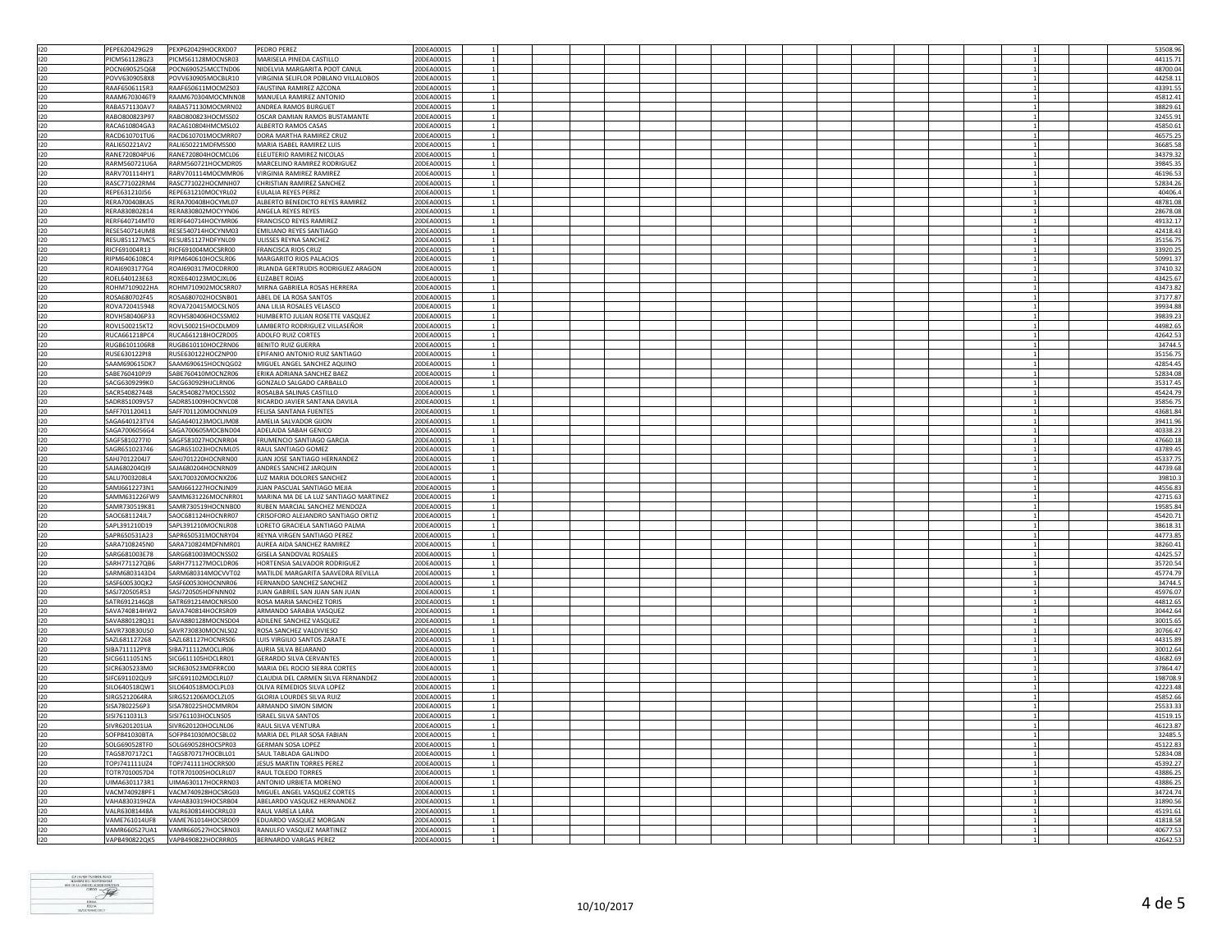| 120     | PFPF620429G29<br>PEXP620429HOCRXD07        | PEDRO PEREZ                           | 20DEA0001S |                |  |  |  |  |  | 53508.96 |
|---------|--------------------------------------------|---------------------------------------|------------|----------------|--|--|--|--|--|----------|
| 120     | PICM561128GZ3<br>PICM561128MOCNSR03        | MARISELA PINEDA CASTILLO              | 20DEA0001S |                |  |  |  |  |  | 44115.71 |
|         |                                            |                                       |            |                |  |  |  |  |  |          |
| 120     | POCN690525Q68<br>POCN690525MCCTND06        | NIDELVIA MARGARITA POOT CANUL         | 20DEA0001S |                |  |  |  |  |  | 48700.04 |
| 120     | POVV6309058X8<br>POVV630905MOCBLR10        | VIRGINIA SELIFLOR POBLANO VILLALOBOS  | 20DEA0001S |                |  |  |  |  |  | 44258.11 |
| 120     | RAAF6506115R3<br>RAAF650611MOCMZS03        | FAUSTINA RAMIREZ AZCONA               | 20DEA0001S |                |  |  |  |  |  | 43391.55 |
|         |                                            |                                       |            |                |  |  |  |  |  |          |
| 120     | RAAM670304MOCMNN08<br>RAAM6703046T9        | MANUELA RAMIREZ ANTONIO               | 20DEA0001S |                |  |  |  |  |  | 45812.4  |
| 120     | RABA571130AV7<br>RABA571130MOCMRN02        | ANDREA RAMOS BURGUET                  | 20DEA0001S |                |  |  |  |  |  | 38829.61 |
| 120     | RABO800823P97<br>RABO800823HOCMSS02        | OSCAR DAMIAN RAMOS BUSTAMANTE         | 20DEA0001S |                |  |  |  |  |  | 32455.9  |
|         | RACA610804GA3                              |                                       | 20DEA0001S |                |  |  |  |  |  |          |
| 120     | RACA610804HMCMSL02                         | ALBERTO RAMOS CASAS                   |            |                |  |  |  |  |  | 45850.61 |
| 120     | RACD610701MOCMRR07<br>RACD610701TU6        | DORA MARTHA RAMIREZ CRUZ              | 20DEA0001S |                |  |  |  |  |  | 46575.25 |
| 120     | RALI650221AV2<br>RALI650221MDFMSS00        | MARIA ISABEL RAMIREZ LUIS             | 20DEA0001S |                |  |  |  |  |  | 36685.58 |
|         |                                            |                                       |            |                |  |  |  |  |  |          |
| 120     | RANE720804PU6<br>RANE720804HOCMCL06        | ELEUTERIO RAMIREZ NICOLAS             | 20DEA0001S |                |  |  |  |  |  | 34379.32 |
| 120     | RARM560721U6A<br>RARM560721HOCMDR05        | MARCELINO RAMIREZ RODRIGUEZ           | 20DEA0001S |                |  |  |  |  |  | 39845.3  |
| 120     | RARV701114MOCMMR06<br>RARV701114HY1        | VIRGINIA RAMIREZ RAMIREZ              | 20DEA0001S |                |  |  |  |  |  | 46196.53 |
|         |                                            |                                       |            |                |  |  |  |  |  |          |
| 120     | RASC771022RM4<br>RASC771022HOCMNH07        | CHRISTIAN RAMIREZ SANCHEZ             | 20DEA0001S |                |  |  |  |  |  | 52834.26 |
| 120     | REPE631210J56<br>REPE631210MOCYRL02        | EULALIA REYES PEREZ                   | 20DEA0001S |                |  |  |  |  |  | 40406.4  |
| 120     | RERA700408KA5<br>RERA700408HOCYML07        | ALBERTO BENEDICTO REYES RAMIREZ       | 20DEA0001S |                |  |  |  |  |  | 48781.08 |
|         |                                            |                                       |            |                |  |  |  |  |  |          |
| 120     | RERA830802814<br>RERA830802MOCYYN06        | ANGELA REYES REYES                    | 20DEA0001S |                |  |  |  |  |  | 28678.0  |
| 120     | RERF640714HOCYMR06<br>RERF640714MT0        | <b>FRANCISCO REYES RAMIREZ</b>        | 20DEA0001S |                |  |  |  |  |  | 49132.1  |
| 120     | RESE540714UM8<br>RESE540714HOCYNM03        | <b>EMILIANO REYES SANTIAGO</b>        | 20DEA0001S |                |  |  |  |  |  | 42418.43 |
|         |                                            |                                       |            |                |  |  |  |  |  |          |
| 120     | <b>RESU851127MC5</b><br>RESU851127HDFYNL09 | ULISSES REYNA SANCHEZ                 | 20DEA0001S |                |  |  |  |  |  | 35156.75 |
| 120     | RICF691004R13<br>RICF691004MOCSRR00        | <b>FRANCISCA RIOS CRUZ</b>            | 20DEA0001S |                |  |  |  |  |  | 33920.25 |
| $120 -$ | RIPM640610HOCSLR06<br>RIPM6406108C4        | MARGARITO RIOS PALACIOS               | 20DEA0001S |                |  |  |  |  |  | 50991.37 |
|         |                                            |                                       |            |                |  |  |  |  |  |          |
| 120     | ROAI690317MOCDRR00<br>ROAI6903177G4        | IRLANDA GERTRUDIS RODRIGUEZ ARAGON    | 20DEA0001S |                |  |  |  |  |  | 37410.32 |
| 120     | ROEL640123E63<br>ROXE640123MOCJXL06        | <b>ELIZABET ROJAS</b>                 | 20DEA0001S |                |  |  |  |  |  | 43425.67 |
| 120     | ROHM7109022HA ROHM710902MOCSRR07           | MIRNA GABRIELA ROSAS HERRERA          | 20DEA0001S |                |  |  |  |  |  | 43473.82 |
|         |                                            |                                       |            | $\overline{1}$ |  |  |  |  |  |          |
| 120     | ROSA680702F45<br>ROSA680702HOCSNB01        | ABEL DE LA ROSA SANTOS                | 20DEA0001S |                |  |  |  |  |  | 37177.87 |
| 120     | ROVA720415MOCSLN05<br>ROVA720415948        | ANA LILIA ROSALES VELASCO             | 20DEA0001S |                |  |  |  |  |  | 39934.88 |
| 120     | ROVH580406P33<br>ROVH580406HOCSSM02        | HUMBERTO JULIAN ROSETTE VASQUEZ       | 20DEA0001S |                |  |  |  |  |  | 39839.23 |
|         |                                            |                                       |            |                |  |  |  |  |  |          |
| 120     | ROVL500215HOCDLM09<br>ROVL500215KT2        | LAMBERTO RODRIGUEZ VILLASEÑOR         | 20DEA0001S |                |  |  |  |  |  | 44982.65 |
| 120     | RUCA661218PC4<br>RUCA661218HOCZRD05        | ADOLFO RUIZ CORTES                    | 20DEA0001S |                |  |  |  |  |  | 42642.5  |
| 120     | RUGB610110HOCZRN06<br>RUGB6101106R8        | BENITO RUIZ GUERRA                    | 20DEA0001S |                |  |  |  |  |  | 34744.   |
|         |                                            |                                       |            |                |  |  |  |  |  |          |
| 120     | RUSE630122HOCZNP00<br>RUSE630122PI8        | EPIFANIO ANTONIO RUIZ SANTIAGO        | 20DEA0001S |                |  |  |  |  |  | 35156.75 |
| 120     | SAAM690615DK7<br>SAAM690615HOCNQG02        | MIGUEL ANGEL SANCHEZ AQUINO           | 20DEA0001S |                |  |  |  |  |  | 42854.45 |
| 120     | SABE760410PJ9<br>SABE760410MOCNZR06        | ERIKA ADRIANA SANCHEZ BAEZ            | 20DEA0001S |                |  |  |  |  |  | 52834.08 |
| 120     | SACG630929HICLRN06<br>SACG6309299K0        | GONZALO SALGADO CARBALLO              | 20DEA0001S |                |  |  |  |  |  | 35317.4  |
|         |                                            |                                       |            |                |  |  |  |  |  |          |
| 120     | SACR540827448<br>SACR540827MOCLSS02        | ROSALBA SALINAS CASTILLO              | 20DEA0001S |                |  |  |  |  |  | 45424.79 |
| 120     | SADR851009V57<br>SADR851009HOCNVC08        | RICARDO JAVIER SANTANA DAVILA         | 20DEA0001S |                |  |  |  |  |  | 35856.75 |
|         |                                            |                                       |            |                |  |  |  |  |  |          |
| 120     | SAFF701120411<br>SAFF701120MOCNNL09        | FELISA SANTANA FUENTES                | 20DEA0001S |                |  |  |  |  |  | 43681.84 |
| 120     | SAGA640123TV4<br>SAGA640123MOCLIM08        | AMELIA SALVADOR GIJON                 | 20DEA0001S |                |  |  |  |  |  | 39411.9  |
| 120     | SAGA700605MOCBND04<br>SAGA7006056G4        | ADELAIDA SABAH GENICO                 | 20DEA0001S |                |  |  |  |  |  | 40338.23 |
|         |                                            |                                       |            |                |  |  |  |  |  |          |
| 120     | SAGF5810277I0<br>SAGF581027HOCNRR04        | FRUMENCIO SANTIAGO GARCIA             | 20DEA0001S |                |  |  |  |  |  | 47660.18 |
| 120     | SAGR651023746<br>SAGR651023HOCNML05        | RAUL SANTIAGO GOMEZ                   | 20DEA0001S |                |  |  |  |  |  | 43789.45 |
| 120     | SAHJ7012204J7<br>SAHJ701220HOCNRN00        | JUAN JOSE SANTIAGO HERNANDEZ          | 20DEA0001S |                |  |  |  |  |  | 45337.7  |
|         |                                            |                                       |            |                |  |  |  |  |  |          |
| 120     | SAJA680204HOCNRN09<br>SAJA680204QI9        | ANDRES SANCHEZ JARQUIN                | 20DEA0001S |                |  |  |  |  |  | 44739.68 |
| 120     | SALU7003208L4<br>SAXL700320MOCNXZ06        | LUZ MARIA DOLORES SANCHEZ             | 20DEA0001S |                |  |  |  |  |  | 39810.3  |
| 120     | SAM16612273N1<br>SAMJ661227HOCNJN09        | JUAN PASCUAL SANTIAGO MEJIA           | 20DEA0001S |                |  |  |  |  |  | 44556.83 |
|         |                                            |                                       |            |                |  |  |  |  |  |          |
| 120     | SAMM631226FW9 SAMM631226MOCNRR01           | MARINA MA DE LA LUZ SANTIAGO MARTINEZ | 20DEA0001S |                |  |  |  |  |  | 42715.63 |
| 120     | SAMR730519HOCNNB00<br>SAMR730519K81        | RUBEN MARCIAL SANCHEZ MENDOZA         | 20DEA0001S |                |  |  |  |  |  | 19585.84 |
| 120     | SAOC681124HOCNRR07<br>SAOC681124JL7        | CRISOFORO ALEJANDRO SANTIAGO ORTIZ    | 20DEA0001S |                |  |  |  |  |  | 45420.71 |
|         |                                            |                                       |            |                |  |  |  |  |  |          |
| 120     | SAPL391210D19<br>SAPL391210MOCNLR08        | LORETO GRACIELA SANTIAGO PALMA        | 20DEA0001S |                |  |  |  |  |  | 38618.31 |
| 120     | SAPR650531A23<br>SAPR650531MOCNRY04        | REYNA VIRGEN SANTIAGO PEREZ           | 20DEA0001S |                |  |  |  |  |  | 44773.85 |
| 120     | SARA7108245N0<br>SARA710824MDFNMR01        | AUREA AIDA SANCHEZ RAMIREZ            | 20DEA0001S |                |  |  |  |  |  | 38260.4  |
|         |                                            |                                       |            |                |  |  |  |  |  |          |
| 120     | SARG681003MOCNSS02<br>SARG681003E78        | GISELA SANDOVAL ROSALES               | 20DEA0001S |                |  |  |  |  |  | 42425.57 |
| 120     | SARH771127QB6<br>SARH771127MOCLDR06        | HORTENSIA SALVADOR RODRIGUEZ          | 20DEA0001S |                |  |  |  |  |  | 35720.54 |
| 120     | SARM6803143D4<br>SARM680314MOCVVT02        | MATILDE MARGARITA SAAVEDRA REVILLA    | 20DEA0001S |                |  |  |  |  |  | 45774.79 |
|         |                                            |                                       |            |                |  |  |  |  |  |          |
| 120     | SASF600530QK2<br>SASF600530HOCNNR06        | FERNANDO SANCHEZ SANCHEZ              | 20DEA0001S |                |  |  |  |  |  | 34744.5  |
| 120     | SASJ720505HDFNNN02<br>SASJ720505R53        | JUAN GABRIEL SAN JUAN SAN JUAN        | 20DEA0001S |                |  |  |  |  |  | 45976.07 |
| 120     | SATR6912146Q8<br>SATR691214MOCNRS00        | ROSA MARIA SANCHEZ TORIS              | 20DEA0001S |                |  |  |  |  |  | 44812.65 |
| 120     | SAVA740814HW2 SAVA740814HOCRSR09           | ARMANDO SARABIA VASQUEZ               | 20DEA0001S |                |  |  |  |  |  | 30442.64 |
|         |                                            |                                       |            |                |  |  |  |  |  |          |
| 120     | SAVA880128Q31<br>SAVA880128MOCNSD04        | ADILENE SANCHEZ VASQUEZ               | 20DEA0001S |                |  |  |  |  |  | 30015.65 |
| 120     | SAVR730830US0<br>SAVR730830MOCNLS02        | ROSA SANCHEZ VALDIVIESO               | 20DEA0001S |                |  |  |  |  |  | 30766.47 |
| 120     | SAZL681127HOCNRS06<br>SAZL681127268        | LUIS VIRGILIO SANTOS ZARATE           | 20DEA0001S |                |  |  |  |  |  | 44315.89 |
|         |                                            |                                       |            |                |  |  |  |  |  |          |
| 120     | SIBA711112PY8<br>SIBA711112MOCLIR06        | AURIA SILVA BEJARANO                  | 20DEA0001S |                |  |  |  |  |  | 30012.64 |
| 120     | SICG611105HOCLRR01<br>SICG6111051N5        | <b>GERARDO SILVA CERVANTES</b>        | 20DEA0001S |                |  |  |  |  |  | 43682.69 |
| 120     | SICR6305233M0<br>SICR630523MDFRRC00        | MARIA DEL ROCIO SIERRA CORTES         | 20DEA0001S |                |  |  |  |  |  | 37864.47 |
|         |                                            |                                       |            |                |  |  |  |  |  |          |
| 120     | SIFC691102MOCLRL07<br>SIFC691102QU9        | CLAUDIA DEL CARMEN SILVA FERNANDEZ    | 20DEA0001S |                |  |  |  |  |  | 198708.  |
| 120     | SILO640518QW1<br>SILO640518MOCLPL03        | OLIVA REMEDIOS SILVA LOPEZ            | 20DEA0001S |                |  |  |  |  |  | 42223.48 |
| 120     | SIRG5212064RA<br>SIRG521206MOCLZL05        | GLORIA LOURDES SILVA RUIZ             | 20DEA0001S |                |  |  |  |  |  | 45852.66 |
|         |                                            |                                       |            |                |  |  |  |  |  |          |
| 120     | SISA7802256P3<br>SISA780225HOCMMR04        | ARMANDO SIMON SIMON                   | 20DEA0001S |                |  |  |  |  |  | 25533.3  |
| 120     | SISI7611031L3<br>SISI761103HOCLNS05        | <b>ISRAEL SILVA SANTOS</b>            | 20DEA0001S |                |  |  |  |  |  | 41519.15 |
| 120     | SIVR6201201UA<br>SIVR620120HOCLNL06        | RAUL SILVA VENTURA                    | 20DEA0001S |                |  |  |  |  |  | 46123.87 |
|         |                                            |                                       |            |                |  |  |  |  |  |          |
| 120     | SOFP841030BTA<br>SOFP841030MOCSBL02        | MARIA DEL PILAR SOSA FABIAN           | 20DEA0001S |                |  |  |  |  |  | 32485.5  |
| 120     | SOLG690528TF0<br>SOLG690528HOCSPR03        | <b>GERMAN SOSA LOPEZ</b>              | 20DEA0001S |                |  |  |  |  |  | 45122.83 |
| 120     | TAGS8707172C1<br>TAGS870717HOCBLL01        | SAUL TABLADA GALINDO                  | 20DEA0001S |                |  |  |  |  |  | 52834.08 |
|         |                                            |                                       |            |                |  |  |  |  |  |          |
| 120     | TOPJ741111UZ4<br>TOPJ741111HOCRRS00        | JESUS MARTIN TORRES PEREZ             | 20DEA0001S |                |  |  |  |  |  | 45392.27 |
| 120     | TOTR7010057D4<br>TOTR701005HOCLRL07        | RAUL TOLEDO TORRES                    | 20DEA0001S |                |  |  |  |  |  | 43886.25 |
| 120     | UIMA6301173R1<br>UIMA630117HOCRRN03        | ANTONIO URBIETA MORENO                | 20DEA0001S |                |  |  |  |  |  | 43886.25 |
|         |                                            |                                       |            |                |  |  |  |  |  |          |
| 120     | VACM740928PF1<br>VACM740928HOCSRG03        | MIGUEL ANGEL VASQUEZ CORTE:           | 20DEA0001S | $\overline{1}$ |  |  |  |  |  | 34724.74 |
| 120     | VAHA830319HZA<br>VAHA830319HOCSRB04        | ABELARDO VASQUEZ HERNANDEZ            | 20DEA0001S |                |  |  |  |  |  | 31890.56 |
| 120     | VALR63081448A<br>VALR630814HOCRRL03        | RAUL VARELA LARA                      | 20DEA0001S |                |  |  |  |  |  | 45191.61 |
|         |                                            | <b>FDUARDO VASOUEZ MORGAN</b>         |            |                |  |  |  |  |  |          |
| 120     | VAME761014UE8 VAME761014HOCSRD09           |                                       | 20DEA0001S |                |  |  |  |  |  | 41818.58 |
| 120     | VAMR660527UA1 VAMR660527HOCSRN03           | RANULFO VASQUEZ MARTINEZ              | 20DEA0001S |                |  |  |  |  |  | 40677.53 |
| 120     | VAPB490822QK5 VAPB490822HOCRRR05           | BERNARDO VARGAS PEREZ                 | 20DEA0001S |                |  |  |  |  |  | 42642.53 |
|         |                                            |                                       |            |                |  |  |  |  |  |          |